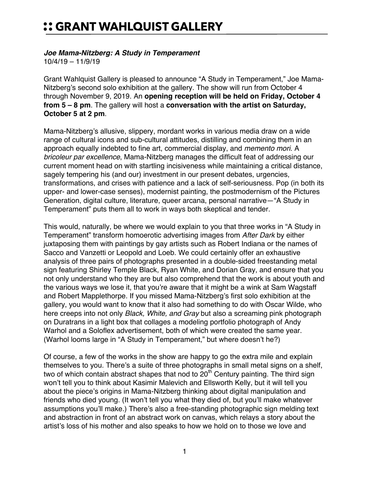## :: GRANT WAHLQUIST GALLERY

## *Joe Mama-Nitzberg: A Study in Temperament*

10/4/19 – 11/9/19

Grant Wahlquist Gallery is pleased to announce "A Study in Temperament," Joe Mama-Nitzberg's second solo exhibition at the gallery. The show will run from October 4 through November 9, 2019. An **opening reception will be held on Friday, October 4 from 5 – 8 pm**. The gallery will host a **conversation with the artist on Saturday, October 5 at 2 pm**.

Mama-Nitzberg's allusive, slippery, mordant works in various media draw on a wide range of cultural icons and sub-cultural attitudes, distilling and combining them in an approach equally indebted to fine art, commercial display, and *memento mori*. A *bricoleur par excellence*, Mama-Nitzberg manages the difficult feat of addressing our current moment head on with startling incisiveness while maintaining a critical distance, sagely tempering his (and our) investment in our present debates, urgencies, transformations, and crises with patience and a lack of self-seriousness. Pop (in both its upper- and lower-case senses), modernist painting, the postmodernism of the Pictures Generation, digital culture, literature, queer arcana, personal narrative—"A Study in Temperament" puts them all to work in ways both skeptical and tender.

This would, naturally, be where we would explain to you that three works in "A Study in Temperament" transform homoerotic advertising images from *After Dark* by either juxtaposing them with paintings by gay artists such as Robert Indiana or the names of Sacco and Vanzetti or Leopold and Loeb. We could certainly offer an exhaustive analysis of three pairs of photographs presented in a double-sided freestanding metal sign featuring Shirley Temple Black, Ryan White, and Dorian Gray, and ensure that you not only understand who they are but also comprehend that the work is about youth and the various ways we lose it, that you're aware that it might be a wink at Sam Wagstaff and Robert Mapplethorpe. If you missed Mama-Nitzberg's first solo exhibition at the gallery, you would want to know that it also had something to do with Oscar Wilde, who here creeps into not only *Black, White, and Gray* but also a screaming pink photograph on Duratrans in a light box that collages a modeling portfolio photograph of Andy Warhol and a Soloflex advertisement, both of which were created the same year. (Warhol looms large in "A Study in Temperament," but where doesn't he?)

Of course, a few of the works in the show are happy to go the extra mile and explain themselves to you. There's a suite of three photographs in small metal signs on a shelf, two of which contain abstract shapes that nod to  $20<sup>th</sup>$  Century painting. The third sign won't tell you to think about Kasimir Malevich and Ellsworth Kelly, but it will tell you about the piece's origins in Mama-Nitzberg thinking about digital manipulation and friends who died young. (It won't tell you what they died of, but you'll make whatever assumptions you'll make.) There's also a free-standing photographic sign melding text and abstraction in front of an abstract work on canvas, which relays a story about the artist's loss of his mother and also speaks to how we hold on to those we love and